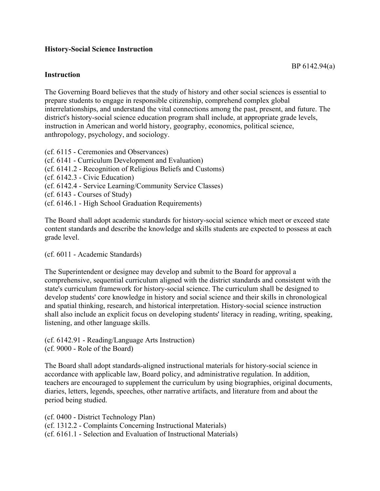## **History-Social Science Instruction**

## **Instruction**

The Governing Board believes that the study of history and other social sciences is essential to prepare students to engage in responsible citizenship, comprehend complex global interrelationships, and understand the vital connections among the past, present, and future. The district's history-social science education program shall include, at appropriate grade levels, instruction in American and world history, geography, economics, political science, anthropology, psychology, and sociology.

- (cf. 6115 Ceremonies and Observances)
- (cf. 6141 Curriculum Development and Evaluation)
- (cf. 6141.2 Recognition of Religious Beliefs and Customs)
- (cf. 6142.3 Civic Education)
- (cf. 6142.4 Service Learning/Community Service Classes)
- (cf. 6143 Courses of Study)
- (cf. 6146.1 High School Graduation Requirements)

The Board shall adopt academic standards for history-social science which meet or exceed state content standards and describe the knowledge and skills students are expected to possess at each grade level.

(cf. 6011 - Academic Standards)

The Superintendent or designee may develop and submit to the Board for approval a comprehensive, sequential curriculum aligned with the district standards and consistent with the state's curriculum framework for history-social science. The curriculum shall be designed to develop students' core knowledge in history and social science and their skills in chronological and spatial thinking, research, and historical interpretation. History-social science instruction shall also include an explicit focus on developing students' literacy in reading, writing, speaking, listening, and other language skills.

(cf. 6142.91 - Reading/Language Arts Instruction) (cf. 9000 - Role of the Board)

The Board shall adopt standards-aligned instructional materials for history-social science in accordance with applicable law, Board policy, and administrative regulation. In addition, teachers are encouraged to supplement the curriculum by using biographies, original documents, diaries, letters, legends, speeches, other narrative artifacts, and literature from and about the period being studied.

(cf. 0400 - District Technology Plan) (cf. 1312.2 - Complaints Concerning Instructional Materials) (cf. 6161.1 - Selection and Evaluation of Instructional Materials)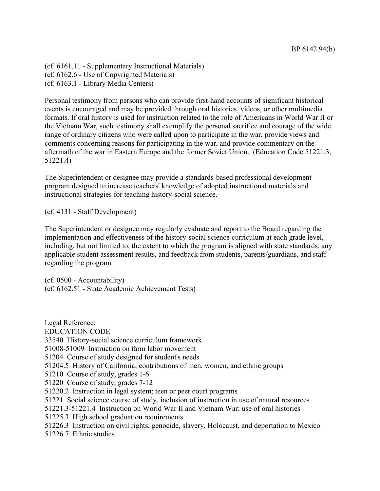(cf. 6161.11 - Supplementary Instructional Materials) (cf. 6162.6 - Use of Copyrighted Materials) (cf. 6163.1 - Library Media Centers)

Personal testimony from persons who can provide first-hand accounts of significant historical events is encouraged and may be provided through oral histories, videos, or other multimedia formats. If oral history is used for instruction related to the role of Americans in World War II or the Vietnam War, such testimony shall exemplify the personal sacrifice and courage of the wide range of ordinary citizens who were called upon to participate in the war, provide views and comments concerning reasons for participating in the war, and provide commentary on the aftermath of the war in Eastern Europe and the former Soviet Union. (Education Code 51221.3, 51221.4)

The Superintendent or designee may provide a standards-based professional development program designed to increase teachers' knowledge of adopted instructional materials and instructional strategies for teaching history-social science.

(cf. 4131 - Staff Development)

The Superintendent or designee may regularly evaluate and report to the Board regarding the implementation and effectiveness of the history-social science curriculum at each grade level, including, but not limited to, the extent to which the program is aligned with state standards, any applicable student assessment results, and feedback from students, parents/guardians, and staff regarding the program.

(cf. 0500 - Accountability) (cf. 6162.51 - State Academic Achievement Tests)

Legal Reference: EDUCATION CODE 33540 History-social science curriculum framework 51008-51009 Instruction on farm labor movement 51204 Course of study designed for student's needs 51204.5 History of California; contributions of men, women, and ethnic groups 51210 Course of study, grades 1-6 51220 Course of study, grades 7-12 51220.2 Instruction in legal system; teen or peer court programs 51221 Social science course of study, inclusion of instruction in use of natural resources 51221.3-51221.4 Instruction on World War II and Vietnam War; use of oral histories 51225.3 High school graduation requirements 51226.3 Instruction on civil rights, genocide, slavery, Holocaust, and deportation to Mexico 51226.7 Ethnic studies